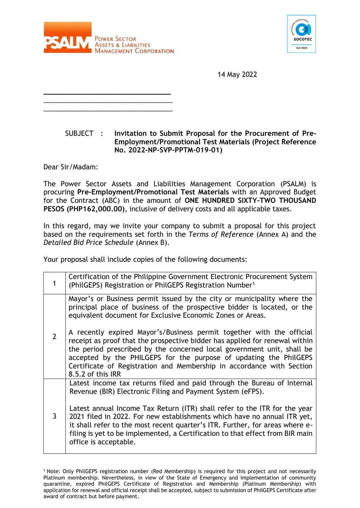

**\_\_\_\_\_\_\_\_\_\_\_\_\_\_\_\_\_\_\_\_\_\_\_\_\_\_\_\_\_\_** \_\_\_\_\_\_\_\_\_\_\_\_\_\_\_\_\_\_\_\_\_\_\_\_\_\_\_\_\_\_\_\_\_\_ \_\_\_\_\_\_\_\_\_\_\_\_\_\_\_\_\_\_\_\_\_\_\_\_\_\_\_\_\_\_\_\_\_\_



14 May 2022

## SUBJECT : **Invitation to Submit Proposal for the Procurement of Pre-Employment/Promotional Test Materials (Project Reference No. 2022-NP-SVP-PPTM-019-01)**

Dear Sir/Madam:

The Power Sector Assets and Liabilities Management Corporation (PSALM) is procuring **Pre-Employment/Promotional Test Materials** with an Approved Budget for the Contract (ABC) in the amount of **ONE HUNDRED SIXTY-TWO THOUSAND PESOS (PHP162,000.00)**, inclusive of delivery costs and all applicable taxes.

In this regard, may we invite your company to submit a proposal for this project based on the requirements set forth in the *Terms of Reference* (Annex A) and the *Detailed Bid Price Schedule* (Annex B).

Your proposal shall include copies of the following documents:

| 1              | Certification of the Philippine Government Electronic Procurement System<br>(PhilGEPS) Registration or PhilGEPS Registration Number <sup>1</sup>                                                                                                                                                                                                                                                                                                                                         |
|----------------|------------------------------------------------------------------------------------------------------------------------------------------------------------------------------------------------------------------------------------------------------------------------------------------------------------------------------------------------------------------------------------------------------------------------------------------------------------------------------------------|
|                | Mayor's or Business permit issued by the city or municipality where the<br>principal place of business of the prospective bidder is located, or the<br>equivalent document for Exclusive Economic Zones or Areas.                                                                                                                                                                                                                                                                        |
| $\overline{2}$ | A recently expired Mayor's/Business permit together with the official<br>receipt as proof that the prospective bidder has applied for renewal within<br>the period prescribed by the concerned local government unit, shall be<br>accepted by the PHILGEPS for the purpose of updating the PhilGEPS<br>Certificate of Registration and Membership in accordance with Section<br>8.5.2 of this IRR                                                                                        |
| 3              | Latest income tax returns filed and paid through the Bureau of Internal<br>Revenue (BIR) Electronic Filing and Payment System (eFPS).<br>Latest annual Income Tax Return (ITR) shall refer to the ITR for the year<br>2021 filed in 2022. For new establishments which have no annual ITR yet,<br>it shall refer to the most recent quarter's ITR. Further, for areas where e-<br>filing is yet to be implemented, a Certification to that effect from BIR main<br>office is acceptable. |

<sup>&</sup>lt;sup>1</sup> Note: Only PhilGEPS registration number (Red Membership) is required for this project and not necessarily Platinum membership. Nevertheless, in view of the State of Emergency and implementation of community quarantine, expired PhilGEPS Certificate of Registration and Membership (Platinum Membership) with application for renewal and official receipt shall be accepted, subject to submission of PhilGEPS Certificate after award of contract but before payment.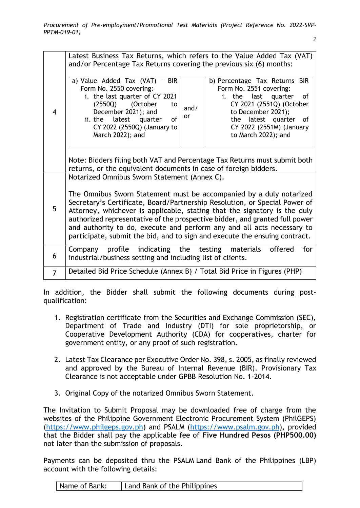|                | Latest Business Tax Returns, which refers to the Value Added Tax (VAT)<br>and/or Percentage Tax Returns covering the previous six (6) months:                                                                                                                                                                                                                                                                                                                                                                         |            |                                                                                                                                                                                                                        |  |  |
|----------------|-----------------------------------------------------------------------------------------------------------------------------------------------------------------------------------------------------------------------------------------------------------------------------------------------------------------------------------------------------------------------------------------------------------------------------------------------------------------------------------------------------------------------|------------|------------------------------------------------------------------------------------------------------------------------------------------------------------------------------------------------------------------------|--|--|
| $\overline{4}$ | a) Value Added Tax (VAT) - BIR<br>Form No. 2550 covering:<br>i. the last quarter of CY 2021<br>(October<br>(2550Q)<br>to<br>December 2021); and<br>ii. the<br>latest quarter<br>of<br>CY 2022 (2550Q) (January to<br>March 2022); and                                                                                                                                                                                                                                                                                 | and/<br>or | b) Percentage Tax Returns BIR<br>Form No. 2551 covering:<br>i. the last quarter<br>0f<br>CY 2021 (2551Q) (October<br>to December 2021);<br>the latest quarter<br>of<br>CY 2022 (2551M) (January<br>to March 2022); and |  |  |
|                | Note: Bidders filing both VAT and Percentage Tax Returns must submit both<br>returns, or the equivalent documents in case of foreign bidders.                                                                                                                                                                                                                                                                                                                                                                         |            |                                                                                                                                                                                                                        |  |  |
| 5              | Notarized Omnibus Sworn Statement (Annex C).<br>The Omnibus Sworn Statement must be accompanied by a duly notarized<br>Secretary's Certificate, Board/Partnership Resolution, or Special Power of<br>Attorney, whichever is applicable, stating that the signatory is the duly<br>authorized representative of the prospective bidder, and granted full power<br>and authority to do, execute and perform any and all acts necessary to<br>participate, submit the bid, and to sign and execute the ensuing contract. |            |                                                                                                                                                                                                                        |  |  |
| 6              | indicating the<br>Company profile<br>industrial/business setting and including list of clients.                                                                                                                                                                                                                                                                                                                                                                                                                       |            | for<br>testing materials<br>offered                                                                                                                                                                                    |  |  |
| $\overline{7}$ | Detailed Bid Price Schedule (Annex B) / Total Bid Price in Figures (PHP)                                                                                                                                                                                                                                                                                                                                                                                                                                              |            |                                                                                                                                                                                                                        |  |  |

In addition, the Bidder shall submit the following documents during postqualification:

- 1. Registration certificate from the Securities and Exchange Commission (SEC), Department of Trade and Industry (DTI) for sole proprietorship, or Cooperative Development Authority (CDA) for cooperatives, charter for government entity, or any proof of such registration.
- 2. Latest Tax Clearance per Executive Order No. 398, s. 2005, as finally reviewed and approved by the Bureau of Internal Revenue (BIR). Provisionary Tax Clearance is not acceptable under GPBB Resolution No. 1-2014.
- 3. Original Copy of the notarized Omnibus Sworn Statement.

The Invitation to Submit Proposal may be downloaded free of charge from the websites of the Philippine Government Electronic Procurement System (PhilGEPS) [\(https://www.philgeps.gov.ph\)](https://www.philgeps.gov.ph/) and PSALM (https://www.psalm.gov.ph), provided that the Bidder shall pay the applicable fee of **Five Hundred Pesos (PHP500.00)** not later than the submission of proposals.

Payments can be deposited thru the PSALM Land Bank of the Philippines (LBP) account with the following details:

| Land Bank of the Philippines<br>Name of Bank: |
|-----------------------------------------------|
|-----------------------------------------------|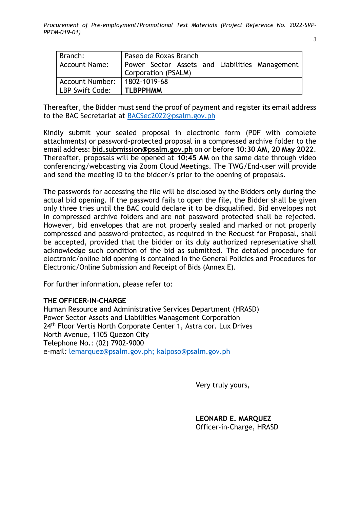*3*

| Branch:                | Paseo de Roxas Branch                          |
|------------------------|------------------------------------------------|
| Account Name:          | Power Sector Assets and Liabilities Management |
|                        | Corporation (PSALM)                            |
| <b>Account Number:</b> | 1802-1019-68                                   |
| LBP Swift Code:        | <b>TLBPPHMM</b>                                |

Thereafter, the Bidder must send the proof of payment and register its email address to the BAC Secretariat at [BACSec2022@psalm.gov.ph](mailto:BACSec2022@psalm.gov.ph)

Kindly submit your sealed proposal in electronic form (PDF with complete attachments) or password-protected proposal in a compressed archive folder to the email address: **bid.submission@psalm.gov.ph** on or before **10:30 AM, 20 May 2022**. Thereafter, proposals will be opened at **10:45 AM** on the same date through video conferencing/webcasting via Zoom Cloud Meetings. The TWG/End-user will provide and send the meeting ID to the bidder/s prior to the opening of proposals.

The passwords for accessing the file will be disclosed by the Bidders only during the actual bid opening. If the password fails to open the file, the Bidder shall be given only three tries until the BAC could declare it to be disqualified. Bid envelopes not in compressed archive folders and are not password protected shall be rejected. However, bid envelopes that are not properly sealed and marked or not properly compressed and password-protected, as required in the Request for Proposal, shall be accepted, provided that the bidder or its duly authorized representative shall acknowledge such condition of the bid as submitted. The detailed procedure for electronic/online bid opening is contained in the General Policies and Procedures for Electronic/Online Submission and Receipt of Bids (Annex E).

For further information, please refer to:

## **THE OFFICER-IN-CHARGE**

Human Resource and Administrative Services Department (HRASD) Power Sector Assets and Liabilities Management Corporation 24<sup>th</sup> Floor Vertis North Corporate Center 1, Astra cor. Lux Drives North Avenue, 1105 Quezon City Telephone No.: (02) 7902-9000 e-mail*:* [lemarquez@psalm.gov.ph; kalposo@psalm.gov.ph](mailto:gbsantos@psalm.gov.ph;%20kalposo@psalm.gov.ph)

Very truly yours,

**LEONARD E. MARQUEZ** Officer-in-Charge, HRASD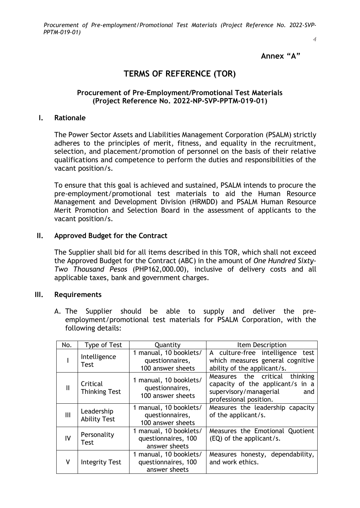*4*

### **Annex "A"**

## **TERMS OF REFERENCE (TOR)**

### **Procurement of Pre-Employment/Promotional Test Materials (Project Reference No. 2022-NP-SVP-PPTM-019-01)**

#### **I. Rationale**

The Power Sector Assets and Liabilities Management Corporation (PSALM) strictly adheres to the principles of merit, fitness, and equality in the recruitment, selection, and placement/promotion of personnel on the basis of their relative qualifications and competence to perform the duties and responsibilities of the vacant position/s.

To ensure that this goal is achieved and sustained, PSALM intends to procure the pre-employment/promotional test materials to aid the Human Resource Management and Development Division (HRMDD) and PSALM Human Resource Merit Promotion and Selection Board in the assessment of applicants to the vacant position/s.

#### **II. Approved Budget for the Contract**

The Supplier shall bid for all items described in this TOR, which shall not exceed the Approved Budget for the Contract (ABC) in the amount of *One Hundred Sixty-Two Thousand Pesos* (PHP162,000.00), inclusive of delivery costs and all applicable taxes, bank and government charges.

### **III. Requirements**

A. The Supplier should be able to supply and deliver the preemployment/promotional test materials for PSALM Corporation, with the following details:

| No.          | <b>Type of Test</b>               | Quantity                                                       | Item Description                                                                                                              |
|--------------|-----------------------------------|----------------------------------------------------------------|-------------------------------------------------------------------------------------------------------------------------------|
|              | Intelligence<br>Test              | 1 manual, 10 booklets/<br>questionnaires,<br>100 answer sheets | A culture-free intelligence test<br>which measures general cognitive<br>ability of the applicant/s.                           |
| $\mathbf{I}$ | Critical<br><b>Thinking Test</b>  | 1 manual, 10 booklets/<br>questionnaires,<br>100 answer sheets | Measures the critical thinking<br>capacity of the applicant/s in a<br>supervisory/managerial<br>and<br>professional position. |
| III          | Leadership<br><b>Ability Test</b> | 1 manual, 10 booklets/<br>questionnaires,<br>100 answer sheets | Measures the leadership capacity<br>of the applicant/s.                                                                       |
| IV           | Personality<br>Test               | 1 manual, 10 booklets/<br>questionnaires, 100<br>answer sheets | Measures the Emotional Quotient<br>(EQ) of the applicant/s.                                                                   |
| v            | <b>Integrity Test</b>             | 1 manual, 10 booklets/<br>questionnaires, 100<br>answer sheets | Measures honesty, dependability,<br>and work ethics.                                                                          |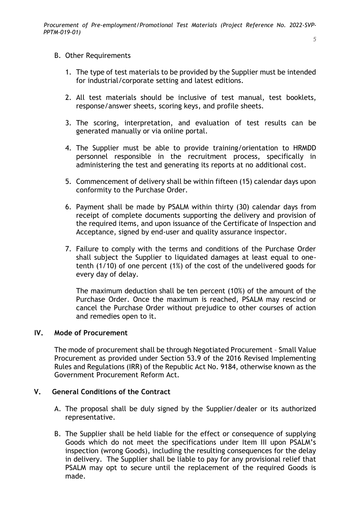### B. Other Requirements

- 1. The type of test materials to be provided by the Supplier must be intended for industrial/corporate setting and latest editions.
- 2. All test materials should be inclusive of test manual, test booklets, response/answer sheets, scoring keys, and profile sheets.
- 3. The scoring, interpretation, and evaluation of test results can be generated manually or via online portal.
- 4. The Supplier must be able to provide training/orientation to HRMDD personnel responsible in the recruitment process, specifically in administering the test and generating its reports at no additional cost.
- 5. Commencement of delivery shall be within fifteen (15) calendar days upon conformity to the Purchase Order.
- 6. Payment shall be made by PSALM within thirty (30) calendar days from receipt of complete documents supporting the delivery and provision of the required items, and upon issuance of the Certificate of Inspection and Acceptance, signed by end-user and quality assurance inspector.
- 7. Failure to comply with the terms and conditions of the Purchase Order shall subject the Supplier to liquidated damages at least equal to onetenth (1/10) of one percent (1%) of the cost of the undelivered goods for every day of delay.

The maximum deduction shall be ten percent (10%) of the amount of the Purchase Order. Once the maximum is reached, PSALM may rescind or cancel the Purchase Order without prejudice to other courses of action and remedies open to it.

### **IV. Mode of Procurement**

The mode of procurement shall be through Negotiated Procurement – Small Value Procurement as provided under Section 53.9 of the 2016 Revised Implementing Rules and Regulations (IRR) of the Republic Act No. 9184, otherwise known as the Government Procurement Reform Act.

## **V. General Conditions of the Contract**

- A. The proposal shall be duly signed by the Supplier/dealer or its authorized representative.
- B. The Supplier shall be held liable for the effect or consequence of supplying Goods which do not meet the specifications under Item III upon PSALM's inspection (wrong Goods), including the resulting consequences for the delay in delivery. The Supplier shall be liable to pay for any provisional relief that PSALM may opt to secure until the replacement of the required Goods is made.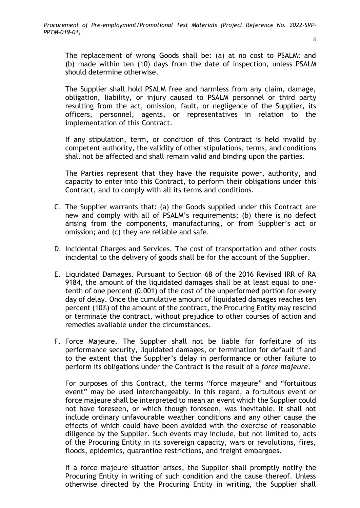The replacement of wrong Goods shall be: (a) at no cost to PSALM; and (b) made within ten (10) days from the date of inspection, unless PSALM should determine otherwise.

The Supplier shall hold PSALM free and harmless from any claim, damage, obligation, liability, or injury caused to PSALM personnel or third party resulting from the act, omission, fault, or negligence of the Supplier, its officers, personnel, agents, or representatives in relation to the implementation of this Contract.

If any stipulation, term, or condition of this Contract is held invalid by competent authority, the validity of other stipulations, terms, and conditions shall not be affected and shall remain valid and binding upon the parties.

The Parties represent that they have the requisite power, authority, and capacity to enter into this Contract, to perform their obligations under this Contract, and to comply with all its terms and conditions.

- C. The Supplier warrants that: (a) the Goods supplied under this Contract are new and comply with all of PSALM's requirements; (b) there is no defect arising from the components, manufacturing, or from Supplier's act or omission; and (c) they are reliable and safe.
- D. Incidental Charges and Services. The cost of transportation and other costs incidental to the delivery of goods shall be for the account of the Supplier.
- E. Liquidated Damages. Pursuant to Section 68 of the 2016 Revised IRR of RA 9184, the amount of the liquidated damages shall be at least equal to onetenth of one percent (0.001) of the cost of the unperformed portion for every day of delay. Once the cumulative amount of liquidated damages reaches ten percent (10%) of the amount of the contract, the Procuring Entity may rescind or terminate the contract, without prejudice to other courses of action and remedies available under the circumstances.
- F. Force Majeure. The Supplier shall not be liable for forfeiture of its performance security, liquidated damages, or termination for default if and to the extent that the Supplier's delay in performance or other failure to perform its obligations under the Contract is the result of a *force majeure*.

For purposes of this Contract, the terms "force majeure" and "fortuitous event" may be used interchangeably. In this regard, a fortuitous event or force majeure shall be interpreted to mean an event which the Supplier could not have foreseen, or which though foreseen, was inevitable. It shall not include ordinary unfavourable weather conditions and any other cause the effects of which could have been avoided with the exercise of reasonable diligence by the Supplier. Such events may include, but not limited to, acts of the Procuring Entity in its sovereign capacity, wars or revolutions, fires, floods, epidemics, quarantine restrictions, and freight embargoes.

If a force majeure situation arises, the Supplier shall promptly notify the Procuring Entity in writing of such condition and the cause thereof. Unless otherwise directed by the Procuring Entity in writing, the Supplier shall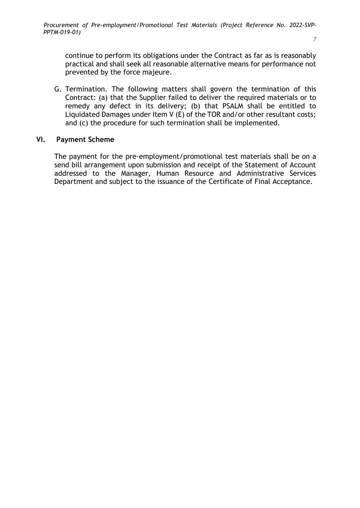*7*

continue to perform its obligations under the Contract as far as is reasonably practical and shall seek all reasonable alternative means for performance not prevented by the force majeure.

G. Termination. The following matters shall govern the termination of this Contract: (a) that the Supplier failed to deliver the required materials or to remedy any defect in its delivery; (b) that PSALM shall be entitled to Liquidated Damages under Item V (E) of the TOR and/or other resultant costs; and (c) the procedure for such termination shall be implemented.

## **VI. Payment Scheme**

The payment for the pre-employment/promotional test materials shall be on a send bill arrangement upon submission and receipt of the Statement of Account addressed to the Manager, Human Resource and Administrative Services Department and subject to the issuance of the Certificate of Final Acceptance.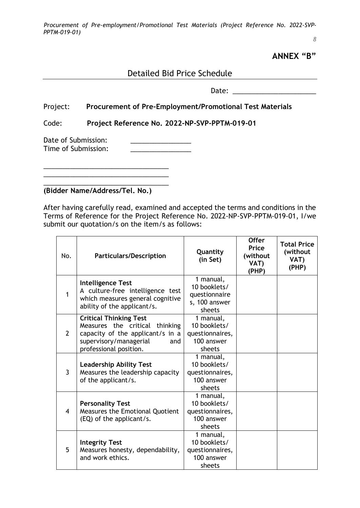*8*

**ANNEX "B"**

<u> 1990 - Johann Barbara, martin a</u>

# Detailed Bid Price Schedule

Date: \_\_\_\_\_\_\_\_\_\_\_\_\_\_\_\_\_\_\_\_\_\_

## Project: **Procurement of Pre-Employment/Promotional Test Materials**

Code: **Project Reference No. 2022-NP-SVP-PPTM-019-01**

Date of Submission: Time of Submission:

**(Bidder Name/Address/Tel. No.)**

\_\_\_\_\_\_\_\_\_\_\_\_\_\_\_\_\_\_\_\_\_\_\_\_\_\_\_\_\_\_\_\_\_

\_\_\_\_\_\_\_\_\_\_\_\_\_\_\_\_\_\_\_\_\_\_\_\_\_\_\_\_\_\_\_\_\_

After having carefully read, examined and accepted the terms and conditions in the Terms of Reference for the Project Reference No. 2022-NP-SVP-PPTM-019-01, I/we submit our quotation/s on the item/s as follows:

| No.            | <b>Particulars/Description</b>                                                                                                                                 | Quantity<br>(in Set)                                                  | <b>Offer</b><br>Price<br>(without<br>VAT)<br>(PHP) | <b>Total Price</b><br>(without<br>VAT)<br>(PHP) |
|----------------|----------------------------------------------------------------------------------------------------------------------------------------------------------------|-----------------------------------------------------------------------|----------------------------------------------------|-------------------------------------------------|
| $\mathbf 1$    | <b>Intelligence Test</b><br>A culture-free intelligence test<br>which measures general cognitive<br>ability of the applicant/s.                                | 1 manual,<br>10 booklets/<br>questionnaire<br>s, 100 answer<br>sheets |                                                    |                                                 |
| $\overline{2}$ | <b>Critical Thinking Test</b><br>Measures the critical thinking<br>capacity of the applicant/s in a<br>supervisory/managerial<br>and<br>professional position. | 1 manual,<br>10 booklets/<br>questionnaires,<br>100 answer<br>sheets  |                                                    |                                                 |
| $\overline{3}$ | <b>Leadership Ability Test</b><br>Measures the leadership capacity<br>of the applicant/s.                                                                      | 1 manual,<br>10 booklets/<br>questionnaires,<br>100 answer<br>sheets  |                                                    |                                                 |
| $\overline{4}$ | <b>Personality Test</b><br><b>Measures the Emotional Quotient</b><br>(EQ) of the applicant/s.                                                                  | 1 manual,<br>10 booklets/<br>questionnaires,<br>100 answer<br>sheets  |                                                    |                                                 |
| 5              | <b>Integrity Test</b><br>Measures honesty, dependability,<br>and work ethics.                                                                                  | 1 manual,<br>10 booklets/<br>questionnaires,<br>100 answer<br>sheets  |                                                    |                                                 |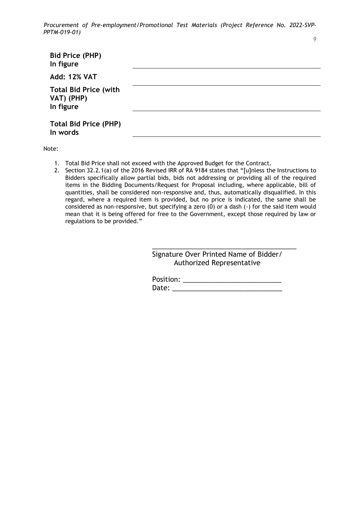| <b>Bid Price (PHP)</b><br>In figure                     |  |
|---------------------------------------------------------|--|
| <b>Add: 12% VAT</b>                                     |  |
| <b>Total Bid Price (with</b><br>VAT) (PHP)<br>In figure |  |
| <b>Total Bid Price (PHP)</b><br>In words                |  |

Note:

- 1. Total Bid Price shall not exceed with the Approved Budget for the Contract.
- 2. Section 32.2.1(a) of the 2016 Revised IRR of RA 9184 states that "[u]nless the Instructions to Bidders specifically allow partial bids, bids not addressing or providing all of the required items in the Bidding Documents/Request for Proposal including, where applicable, bill of quantities, shall be considered non-responsive and, thus, automatically disqualified. In this regard, where a required item is provided, but no price is indicated, the same shall be considered as non-responsive, but specifying a zero (0) or a dash (-) for the said item would mean that it is being offered for free to the Government, except those required by law or regulations to be provided."

Signature Over Printed Name of Bidder/ Authorized Representative

\_\_\_\_\_\_\_\_\_\_\_\_\_\_\_\_\_\_\_\_\_\_\_\_\_\_\_\_\_\_\_\_\_\_\_\_\_\_

| Position: |  |
|-----------|--|
| Date:     |  |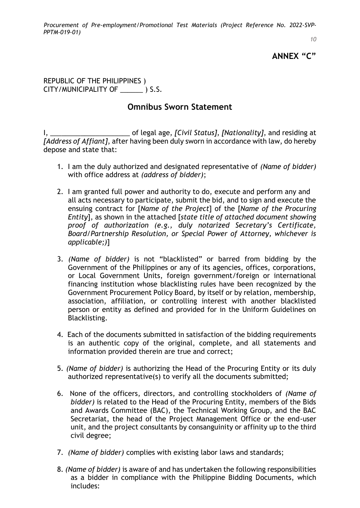*10*

# **ANNEX "C"**

REPUBLIC OF THE PHILIPPINES ) CITY/MUNICIPALITY OF \_\_\_\_\_\_ ) S.S.

# **Omnibus Sworn Statement**

I, *\_\_\_\_\_\_\_\_\_\_\_\_\_\_\_\_\_\_\_\_\_* of legal age, *[Civil Status]*, *[Nationality]*, and residing at *[Address of Affiant]*, after having been duly sworn in accordance with law, do hereby depose and state that:

- 1. I am the duly authorized and designated representative of *(Name of bidder)*  with office address at *(address of bidder)*;
- 2. I am granted full power and authority to do, execute and perform any and all acts necessary to participate, submit the bid, and to sign and execute the ensuing contract for [*Name of the Project*] of the [*Name of the Procuring Entity*], as shown in the attached [*state title of attached document showing proof of authorization (e.g., duly notarized Secretary's Certificate, Board/Partnership Resolution, or Special Power of Attorney, whichever is applicable;)*]
- 3. *(Name of bidder)* is not "blacklisted" or barred from bidding by the Government of the Philippines or any of its agencies, offices, corporations, or Local Government Units, foreign government/foreign or international financing institution whose blacklisting rules have been recognized by the Government Procurement Policy Board, by itself or by relation, membership, association, affiliation, or controlling interest with another blacklisted person or entity as defined and provided for in the Uniform Guidelines on Blacklisting.
- 4. Each of the documents submitted in satisfaction of the bidding requirements is an authentic copy of the original, complete, and all statements and information provided therein are true and correct;
- 5. *(Name of bidder)* is authorizing the Head of the Procuring Entity or its duly authorized representative(s) to verify all the documents submitted;
- 6. None of the officers, directors, and controlling stockholders of *(Name of bidder)* is related to the Head of the Procuring Entity, members of the Bids and Awards Committee (BAC), the Technical Working Group, and the BAC Secretariat, the head of the Project Management Office or the end-user unit, and the project consultants by consanguinity or affinity up to the third civil degree;
- 7. *(Name of bidder)* complies with existing labor laws and standards;
- 8. *(Name of bidder)* is aware of and has undertaken the following responsibilities as a bidder in compliance with the Philippine Bidding Documents, which includes: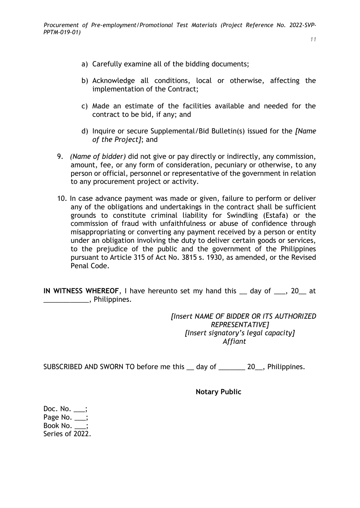- a) Carefully examine all of the bidding documents;
- b) Acknowledge all conditions, local or otherwise, affecting the implementation of the Contract;
- c) Made an estimate of the facilities available and needed for the contract to be bid, if any; and
- d) Inquire or secure Supplemental/Bid Bulletin(s) issued for the *[Name of the Project]*; and
- 9. *(Name of bidder)* did not give or pay directly or indirectly, any commission, amount, fee, or any form of consideration, pecuniary or otherwise, to any person or official, personnel or representative of the government in relation to any procurement project or activity.
- 10. In case advance payment was made or given, failure to perform or deliver any of the obligations and undertakings in the contract shall be sufficient grounds to constitute criminal liability for Swindling (Estafa) or the commission of fraud with unfaithfulness or abuse of confidence through misappropriating or converting any payment received by a person or entity under an obligation involving the duty to deliver certain goods or services, to the prejudice of the public and the government of the Philippines pursuant to Article 315 of Act No. 3815 s. 1930, as amended, or the Revised Penal Code.

**IN WITNESS WHEREOF**, I have hereunto set my hand this \_\_ day of \_\_\_, 20\_\_ at \_\_\_\_\_\_\_\_\_\_\_\_, Philippines.

> *[Insert NAME OF BIDDER OR ITS AUTHORIZED REPRESENTATIVE] [Insert signatory's legal capacity] Affiant*

SUBSCRIBED AND SWORN TO before me this day of 20, Philippines.

**Notary Public** 

Doc. No. \_\_\_; Page No. \_\_; Book No.  $\qquad$  : Series of 2022.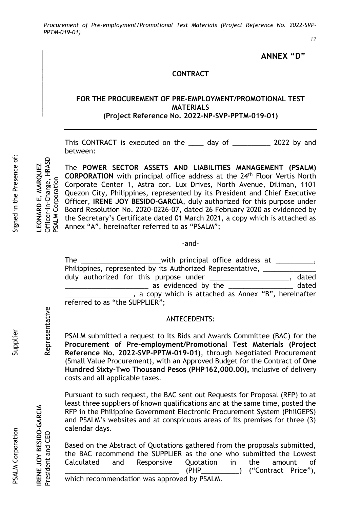*12*

## **ANNEX "D"**

### **CONTRACT**

### **FOR THE PROCUREMENT OF PRE-EMPLOYMENT/PROMOTIONAL TEST MATERIALS (Project Reference No. 2022-NP-SVP-PPTM-019-01)**

This CONTRACT is executed on the \_\_\_\_ day of \_\_\_\_\_\_\_\_\_\_ 2022 by and between:

The **POWER SECTOR ASSETS AND LIABILITIES MANAGEMENT (PSALM) CORPORATION** with principal office address at the 24<sup>th</sup> Floor Vertis North PSALM Corporation PSALM Corporation Corporate Center 1, Astra cor. Lux Drives, North Avenue, Diliman, 1101 Quezon City, Philippines, represented by its President and Chief Executive Officer, **IRENE JOY BESIDO-GARCIA**, duly authorized for this purpose under Board Resolution No. 2020-0226-07, dated 26 February 2020 as evidenced by the Secretary's Certificate dated 01 March 2021, a copy which is attached as Annex "A", hereinafter referred to as "PSALM";

#### -and-

| The                            | with principal office address at __________,               |       |
|--------------------------------|------------------------------------------------------------|-------|
|                                | Philippines, represented by its Authorized Representative, |       |
|                                | duly authorized for this purpose under ______________      | dated |
|                                | as evidenced by the                                        | dated |
|                                | a copy which is attached as Annex "B", hereinafter         |       |
| referred to as "the SUPPLIER"; |                                                            |       |

#### ANTECEDENTS:

PSALM submitted a request to its Bids and Awards Committee (BAC) for the **Procurement of Pre-employment/Promotional Test Materials (Project Reference No. 2022-SVP-PPTM-019-01)**, through Negotiated Procurement (Small Value Procurement), with an Approved Budget for the Contract of **One Hundred Sixty-Two Thousand Pesos (PHP162,000.00),** inclusive of delivery costs and all applicable taxes.

Pursuant to such request, the BAC sent out Requests for Proposal (RFP) to at least three suppliers of known qualifications and at the same time, posted the RFP in the Philippine Government Electronic Procurement System (PhilGEPS) and PSALM's websites and at conspicuous areas of its premises for three (3) calendar days.

Based on the Abstract of Quotations gathered from the proposals submitted, the BAC recommend the SUPPLIER as the one who submitted the Lowest Calculated and Responsive Quotation in the amount of  $(PHP_\_$  ("Contract Price"), which recommendation was approved by PSALM.

**IRENE JOY BESIDO-GARCIA LEONARD E. MARQUEZ \_\_\_\_\_\_\_\_\_\_\_\_\_\_\_\_\_**

Officer-in-Charge, HRASD EONARD E. MARQUEZ

President and CEO Representative Officer-in-Charge, HRASD

Representative

RENE JOY BESIDO-GARCIA

President and CEO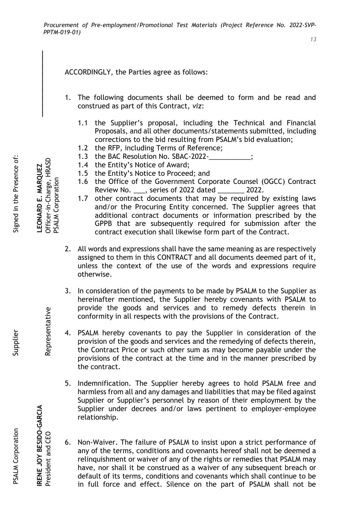ACCORDINGLY, the Parties agree as follows:

- 1. The following documents shall be deemed to form and be read and construed as part of this Contract, *viz*:
	- 1.1 the Supplier's proposal, including the Technical and Financial Proposals, and all other documents/statements submitted, including corrections to the bid resulting from PSALM's bid evaluation;
	- 1.2 the RFP, including Terms of Reference;
	- 1.3 the BAC Resolution No. SBAC-2022-
	- 1.4 the Entity's Notice of Award;
	- 1.5 the Entity's Notice to Proceed; and
	- 1.6 the Office of the Government Corporate Counsel (OGCC) Contract Review No. \_\_\_, series of 2022 dated \_\_\_\_\_\_\_ 2022.
	- 1.7 other contract documents that may be required by existing laws and/or the Procuring Entity concerned. The Supplier agrees that additional contract documents or information prescribed by the GPPB that are subsequently required for submission after the contract execution shall likewise form part of the Contract.
- 2. All words and expressions shall have the same meaning as are respectively assigned to them in this CONTRACT and all documents deemed part of it, unless the context of the use of the words and expressions require otherwise.
- 3. In consideration of the payments to be made by PSALM to the Supplier as hereinafter mentioned, the Supplier hereby covenants with PSALM to provide the goods and services and to remedy defects therein in conformity in all respects with the provisions of the Contract.
- 4. PSALM hereby covenants to pay the Supplier in consideration of the provision of the goods and services and the remedying of defects therein, the Contract Price or such other sum as may become payable under the provisions of the contract at the time and in the manner prescribed by the contract.
- 5. Indemnification. The Supplier hereby agrees to hold PSALM free and harmless from all and any damages and liabilities that may be filed against Supplier or Supplier's personnel by reason of their employment by the Supplier under decrees and/or laws pertinent to employer-employee relationship.
- 6. Non-Waiver. The failure of PSALM to insist upon a strict performance of any of the terms, conditions and covenants hereof shall not be deemed a relinquishment or waiver of any of the rights or remedies that PSALM may have, nor shall it be construed as a waiver of any subsequent breach or default of its terms, conditions and covenants which shall continue to be in full force and effect. Silence on the part of PSALM shall not be

Signed in the Presence of:

**IRENE JOY BESIDO-GARCIA LEONARD E. MARQUEZ \_\_\_\_\_\_\_\_\_\_\_\_\_\_\_\_\_**

PSALM Corporation

PSALM Corporation

Officer-in-Charge, HRASD **EONARD E. MARQUEZ** 

President and CEO Representative Officer-in-Charge, HRASD

Representative

RENE JOY BESIDO-GARCIA

President and CEO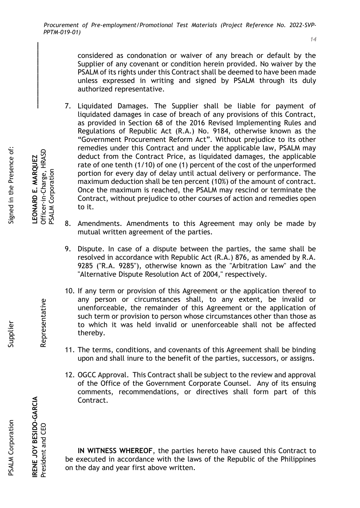considered as condonation or waiver of any breach or default by the Supplier of any covenant or condition herein provided. No waiver by the PSALM of its rights under this Contract shall be deemed to have been made unless expressed in writing and signed by PSALM through its duly authorized representative.

- 7. Liquidated Damages. The Supplier shall be liable for payment of liquidated damages in case of breach of any provisions of this Contract, as provided in Section 68 of the 2016 Revised Implementing Rules and Regulations of Republic Act (R.A.) No. 9184, otherwise known as the "Government Procurement Reform Act". Without prejudice to its other remedies under this Contract and under the applicable law, PSALM may deduct from the Contract Price, as liquidated damages, the applicable rate of one tenth (1/10) of one (1) percent of the cost of the unperformed portion for every day of delay until actual delivery or performance. The maximum deduction shall be ten percent (10%) of the amount of contract. Once the maximum is reached, the PSALM may rescind or terminate the Contract, without prejudice to other courses of action and remedies open to it.
- 8. Amendments. Amendments to this Agreement may only be made by mutual written agreement of the parties.
- 9. Dispute. In case of a dispute between the parties, the same shall be resolved in accordance with Republic Act (R.A.) 876, as amended by R.A. 9285 ("R.A. 9285"), otherwise known as the "Arbitration Law" and the "Alternative Dispute Resolution Act of 2004," respectively.
- 10. If any term or provision of this Agreement or the application thereof to any person or circumstances shall, to any extent, be invalid or unenforceable, the remainder of this Agreement or the application of such term or provision to person whose circumstances other than those as to which it was held invalid or unenforceable shall not be affected thereby.
- 11. The terms, conditions, and covenants of this Agreement shall be binding upon and shall inure to the benefit of the parties, successors, or assigns.
- 12. OGCC Approval. This Contract shall be subject to the review and approval of the Office of the Government Corporate Counsel. Any of its ensuing comments, recommendations, or directives shall form part of this Contract.

**IN WITNESS WHEREOF**, the parties hereto have caused this Contract to be executed in accordance with the laws of the Republic of the Philippines on the day and year first above written.

**IRENE JOY BESIDO-GARCIA LEONARD E. MARQUEZ \_\_\_\_\_\_\_\_\_\_\_\_\_\_\_\_\_** Officer-in-Charge, HRASD President and CEO Representative Officer-in-Charge, HRASD LEONARD E. MARQUEZ PSALM Corporation PSALM Corporation

Signed in the Presence of:

Representative

RENE JOY BESIDO-GARCIA

President and CEO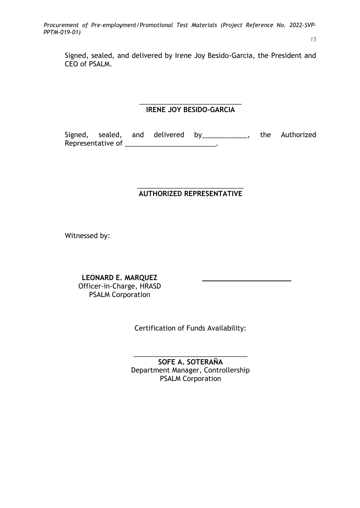Signed, sealed, and delivered by Irene Joy Besido-Garcia, the President and CEO of PSALM.

### \_\_\_\_\_\_\_\_\_\_\_\_\_\_\_\_\_\_\_\_\_\_\_\_\_\_\_ **IRENE JOY BESIDO-GARCIA**

Signed, sealed, and delivered by \_\_\_\_\_\_\_\_\_\_\_, the Authorized Representative of \_\_\_\_\_\_\_\_\_\_\_\_\_\_\_\_\_\_\_\_\_\_\_\_\_\_.

### \_\_\_\_\_\_\_\_\_\_\_\_\_\_\_\_\_\_\_\_\_\_\_\_\_\_\_\_ **AUTHORIZED REPRESENTATIVE**

Witnessed by:

**LEONARD E. MARQUEZ**

Officer-in-Charge, HRASD PSALM Corporation

Certification of Funds Availability:

**\_\_\_\_\_\_\_\_\_\_\_\_\_\_\_\_\_\_\_\_\_**

**SOFE A. SOTERAÑA** Department Manager, Controllership PSALM Corporation

\_\_\_\_\_\_\_\_\_\_\_\_\_\_\_\_\_\_\_\_\_\_\_\_\_\_\_\_\_\_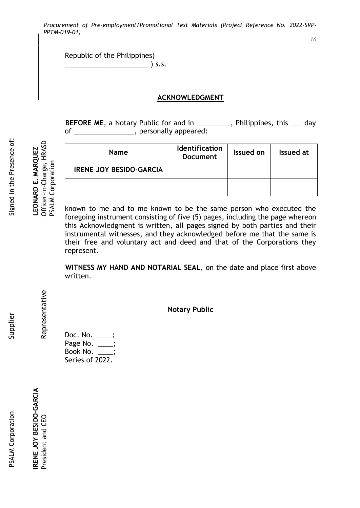Republic of the Philippines) \_\_\_\_\_\_\_\_\_\_\_\_\_\_\_\_\_\_\_\_\_\_ ) *s.s.*

### **ACKNOWLEDGMENT**

**BEFORE ME**, a Notary Public for and in \_\_\_\_\_\_\_\_\_, Philippines, this \_\_\_ day of \_\_\_\_\_\_\_\_\_\_\_\_\_\_\_, personally appeared:

Signed in the Presence of:

PSALM Corporation

Representative

| <b>Name</b>                    | <b>Identification</b><br><b>Document</b> | Issued on | Issued at |
|--------------------------------|------------------------------------------|-----------|-----------|
| <b>IRENE JOY BESIDO-GARCIA</b> |                                          |           |           |
|                                |                                          |           |           |

known to me and to me known to be the same person who executed the foregoing instrument consisting of five (5) pages, including the page whereon this Acknowledgment is written, all pages signed by both parties and their instrumental witnesses, and they acknowledged before me that the same is their free and voluntary act and deed and that of the Corporations they represent.

**WITNESS MY HAND AND NOTARIAL SEAL**, on the date and place first above written.

**Notary Public**

Doc. No. \_\_\_\_; Page No. \_\_\_; Book No. \_\_\_\_; Series of 2022.

RENE JOY BESIDO-GARCIA

President and CEO

Supplier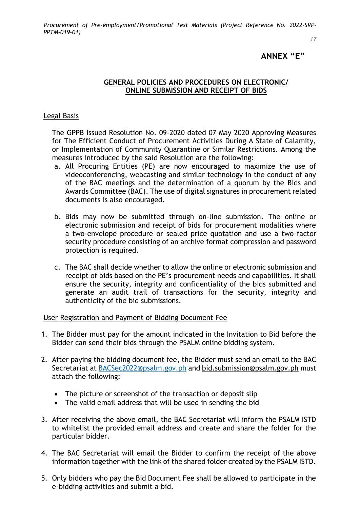*17*

## **ANNEX "E"**

## **GENERAL POLICIES AND PROCEDURES ON ELECTRONIC/ ONLINE SUBMISSION AND RECEIPT OF BIDS**

### Legal Basis

The GPPB issued Resolution No. 09-2020 dated 07 May 2020 Approving Measures for The Efficient Conduct of Procurement Activities During A State of Calamity, or Implementation of Community Quarantine or Similar Restrictions. Among the measures introduced by the said Resolution are the following:

- a. All Procuring Entities (PE) are now encouraged to maximize the use of videoconferencing, webcasting and similar technology in the conduct of any of the BAC meetings and the determination of a quorum by the Bids and Awards Committee (BAC). The use of digital signatures in procurement related documents is also encouraged.
- b. Bids may now be submitted through on-line submission. The online or electronic submission and receipt of bids for procurement modalities where a two-envelope procedure or sealed price quotation and use a two-factor security procedure consisting of an archive format compression and password protection is required.
- c. The BAC shall decide whether to allow the online or electronic submission and receipt of bids based on the PE's procurement needs and capabilities. It shall ensure the security, integrity and confidentiality of the bids submitted and generate an audit trail of transactions for the security, integrity and authenticity of the bid submissions.

User Registration and Payment of Bidding Document Fee

- 1. The Bidder must pay for the amount indicated in the Invitation to Bid before the Bidder can send their bids through the PSALM online bidding system.
- 2. After paying the bidding document fee, the Bidder must send an email to the BAC Secretariat at [BACSec2022@psalm.gov.ph](mailto:BACSec2022@psalm.gov.ph) and bid.submission@psalm.gov.ph must attach the following:
	- The picture or screenshot of the transaction or deposit slip
	- The valid email address that will be used in sending the bid
- 3. After receiving the above email, the BAC Secretariat will inform the PSALM ISTD to whitelist the provided email address and create and share the folder for the particular bidder.
- 4. The BAC Secretariat will email the Bidder to confirm the receipt of the above information together with the link of the shared folder created by the PSALM ISTD.
- 5. Only bidders who pay the Bid Document Fee shall be allowed to participate in the e-bidding activities and submit a bid.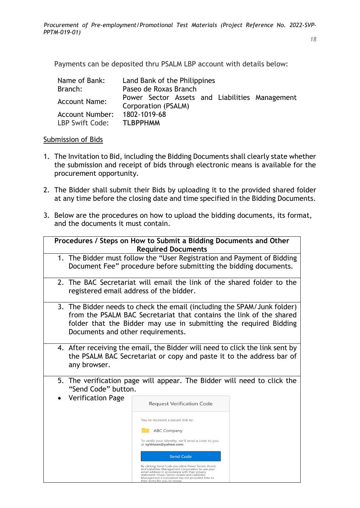Payments can be deposited thru PSALM LBP account with details below:

| Name of Bank:          | Land Bank of the Philippines                                          |
|------------------------|-----------------------------------------------------------------------|
| Branch:                | Paseo de Roxas Branch                                                 |
| <b>Account Name:</b>   | Power Sector Assets and Liabilities Management<br>Corporation (PSALM) |
| <b>Account Number:</b> | 1802-1019-68                                                          |
| LBP Swift Code:        | <b>TLBPPHMM</b>                                                       |

### Submission of Bids

- 1. The Invitation to Bid, including the Bidding Documents shall clearly state whether the submission and receipt of bids through electronic means is available for the procurement opportunity.
- 2. The Bidder shall submit their Bids by uploading it to the provided shared folder at any time before the closing date and time specified in the Bidding Documents.
- 3. Below are the procedures on how to upload the bidding documents, its format, and the documents it must contain.

|                                                 | Procedures / Steps on How to Submit a Bidding Documents and Other<br><b>Required Documents</b>                                                                                                                                                                                                                                                                                                                                                                                                                                                                                   |  |
|-------------------------------------------------|----------------------------------------------------------------------------------------------------------------------------------------------------------------------------------------------------------------------------------------------------------------------------------------------------------------------------------------------------------------------------------------------------------------------------------------------------------------------------------------------------------------------------------------------------------------------------------|--|
|                                                 | 1. The Bidder must follow the "User Registration and Payment of Bidding<br>Document Fee" procedure before submitting the bidding documents.                                                                                                                                                                                                                                                                                                                                                                                                                                      |  |
| registered email address of the bidder.         | 2. The BAC Secretariat will email the link of the shared folder to the                                                                                                                                                                                                                                                                                                                                                                                                                                                                                                           |  |
| Documents and other requirements.               | 3. The Bidder needs to check the email (including the SPAM/Junk folder)<br>from the PSALM BAC Secretariat that contains the link of the shared<br>folder that the Bidder may use in submitting the required Bidding                                                                                                                                                                                                                                                                                                                                                              |  |
| any browser.                                    | 4. After receiving the email, the Bidder will need to click the link sent by<br>the PSALM BAC Secretariat or copy and paste it to the address bar of                                                                                                                                                                                                                                                                                                                                                                                                                             |  |
| "Send Code" button.<br><b>Verification Page</b> | 5. The verification page will appear. The Bidder will need to click the<br><b>Request Verification Code</b><br>You've received a secure link to:<br><b>ABC Company</b><br>To verify your identity, we'll send a code to you<br>at eytinaan@yahoo.com.<br><b>Send Code</b><br>By clicking Send Code you allow Power Sector Assets<br>and Liabilities Management Corporation to use your<br>email address in accordance with their privacy<br>statement. Power Sector Assets and Liabilities<br>Management Corporation has not provided links to<br>their terms for you to review. |  |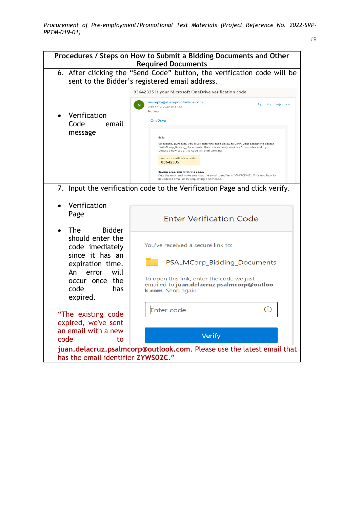

| Procedures / Steps on How to Submit a Bidding Documents and Other<br><b>Required Documents</b>                            |                                                                                                                                                                                                                                                                       |  |  |  |  |
|---------------------------------------------------------------------------------------------------------------------------|-----------------------------------------------------------------------------------------------------------------------------------------------------------------------------------------------------------------------------------------------------------------------|--|--|--|--|
| 6. After clicking the "Send Code" button, the verification code will be<br>sent to the Bidder's registered email address. |                                                                                                                                                                                                                                                                       |  |  |  |  |
|                                                                                                                           | 83642335 is your Microsoft OneDrive verification code.                                                                                                                                                                                                                |  |  |  |  |
| Verification<br>Code<br>email<br>message                                                                                  | no-reply@sharepointonline.com<br>$\leftrightarrow$<br>$\leftrightarrow$<br>$\rightarrow$<br>$\cdots$<br>N<br>Wed 6/10/2020 5:45 PM<br>To: You<br><b>OneDrive</b><br>Hello,                                                                                            |  |  |  |  |
|                                                                                                                           | For security purposes, you must enter the code below to verify your account to access<br>PSALMCorp_Bidding_Documents. The code will only work for 15 minutes and if you<br>request a new code, this code will stop working.<br>Account verification code:<br>83642335 |  |  |  |  |
|                                                                                                                           | Having problems with the code?<br>View the error and make sure that the email identifier is "WW7CFMB". If it's not, look for<br>an updated email or try requesting a new code.                                                                                        |  |  |  |  |
|                                                                                                                           | 7. Input the verification code to the Verification Page and click verify.                                                                                                                                                                                             |  |  |  |  |
| Verification                                                                                                              |                                                                                                                                                                                                                                                                       |  |  |  |  |
| Page                                                                                                                      | <b>Enter Verification Code</b>                                                                                                                                                                                                                                        |  |  |  |  |
| <b>The</b><br><b>Bidder</b><br>should enter the<br>code imediately                                                        | You've received a secure link to:                                                                                                                                                                                                                                     |  |  |  |  |
| since it has an<br>expiration time.                                                                                       | PSALMCorp_Bidding_Documents                                                                                                                                                                                                                                           |  |  |  |  |
| An<br>will<br>error<br>occur once the<br>code<br>has<br>expired.                                                          | To open this link, enter the code we just<br>emailed to juan.delacruz.psalmcorp@outloo<br>k.com. Send again                                                                                                                                                           |  |  |  |  |
|                                                                                                                           | (i)<br>Enter code                                                                                                                                                                                                                                                     |  |  |  |  |
| "The existing code<br>expired, we've sent                                                                                 |                                                                                                                                                                                                                                                                       |  |  |  |  |
| an email with a new                                                                                                       | Verify                                                                                                                                                                                                                                                                |  |  |  |  |
| code<br>to                                                                                                                |                                                                                                                                                                                                                                                                       |  |  |  |  |
| juan.delacruz.psalmcorp@outlook.com. Please use the latest email that<br>has the email identifier ZYWS02C."               |                                                                                                                                                                                                                                                                       |  |  |  |  |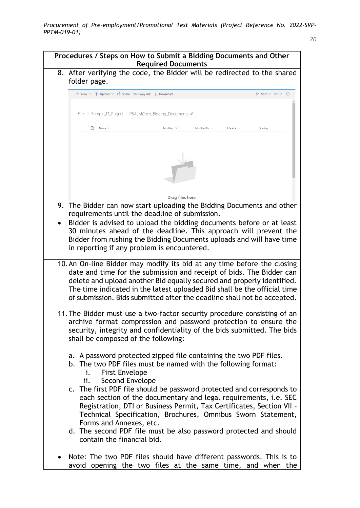## **Procedures / Steps on How to Submit a Bidding Documents and Other Required Documents**

8. After verifying the code, the Bidder will be redirected to the shared folder page.

| Files > Sample_IT_Project > PSALMCorp_Bidding_Documents &<br>$\Box$ Name $\vee$<br>9. The Bidder can now start uploading the Bidding Documents and other<br>requirements until the deadline of submission.<br>Bidder is advised to upload the bidding documents before or at least<br>30 minutes ahead of the deadline. This approach will prevent the<br>Bidder from rushing the Bidding Documents uploads and will have time<br>in reporting if any problem is encountered.<br>10. An On-line Bidder may modify its bid at any time before the closing<br>date and time for the submission and receipt of bids. The Bidder can<br>delete and upload another Bid equally secured and properly identified.<br>The time indicated in the latest uploaded Bid shall be the official time<br>of submission. Bids submitted after the deadline shall not be accepted.<br>11. The Bidder must use a two-factor security procedure consisting of an<br>archive format compression and password protection to ensure the<br>security, integrity and confidentiality of the bids submitted. The bids<br>shall be composed of the following:<br>a. A password protected zipped file containing the two PDF files.<br>b. The two PDF files must be named with the following format:<br><b>First Envelope</b><br>i.<br>Second Envelope<br>ii.<br>c. The first PDF file should be password protected and corresponds to<br>each section of the documentary and legal requirements, i.e. SEC<br>Registration, DTI or Business Permit, Tax Certificates, Section VII -<br>Technical Specification, Brochures, Omnibus Sworn Statement,<br>Forms and Annexes, etc. | Modified $\vee$<br>Drag files here | Modified By $\vee$ | File size $\vee$ | Sharing |
|-----------------------------------------------------------------------------------------------------------------------------------------------------------------------------------------------------------------------------------------------------------------------------------------------------------------------------------------------------------------------------------------------------------------------------------------------------------------------------------------------------------------------------------------------------------------------------------------------------------------------------------------------------------------------------------------------------------------------------------------------------------------------------------------------------------------------------------------------------------------------------------------------------------------------------------------------------------------------------------------------------------------------------------------------------------------------------------------------------------------------------------------------------------------------------------------------------------------------------------------------------------------------------------------------------------------------------------------------------------------------------------------------------------------------------------------------------------------------------------------------------------------------------------------------------------------------------------------------------------------------------------------------------|------------------------------------|--------------------|------------------|---------|
|                                                                                                                                                                                                                                                                                                                                                                                                                                                                                                                                                                                                                                                                                                                                                                                                                                                                                                                                                                                                                                                                                                                                                                                                                                                                                                                                                                                                                                                                                                                                                                                                                                                     |                                    |                    |                  |         |
|                                                                                                                                                                                                                                                                                                                                                                                                                                                                                                                                                                                                                                                                                                                                                                                                                                                                                                                                                                                                                                                                                                                                                                                                                                                                                                                                                                                                                                                                                                                                                                                                                                                     |                                    |                    |                  |         |
|                                                                                                                                                                                                                                                                                                                                                                                                                                                                                                                                                                                                                                                                                                                                                                                                                                                                                                                                                                                                                                                                                                                                                                                                                                                                                                                                                                                                                                                                                                                                                                                                                                                     |                                    |                    |                  |         |
|                                                                                                                                                                                                                                                                                                                                                                                                                                                                                                                                                                                                                                                                                                                                                                                                                                                                                                                                                                                                                                                                                                                                                                                                                                                                                                                                                                                                                                                                                                                                                                                                                                                     |                                    |                    |                  |         |
|                                                                                                                                                                                                                                                                                                                                                                                                                                                                                                                                                                                                                                                                                                                                                                                                                                                                                                                                                                                                                                                                                                                                                                                                                                                                                                                                                                                                                                                                                                                                                                                                                                                     |                                    |                    |                  |         |
|                                                                                                                                                                                                                                                                                                                                                                                                                                                                                                                                                                                                                                                                                                                                                                                                                                                                                                                                                                                                                                                                                                                                                                                                                                                                                                                                                                                                                                                                                                                                                                                                                                                     |                                    |                    |                  |         |
|                                                                                                                                                                                                                                                                                                                                                                                                                                                                                                                                                                                                                                                                                                                                                                                                                                                                                                                                                                                                                                                                                                                                                                                                                                                                                                                                                                                                                                                                                                                                                                                                                                                     |                                    |                    |                  |         |
|                                                                                                                                                                                                                                                                                                                                                                                                                                                                                                                                                                                                                                                                                                                                                                                                                                                                                                                                                                                                                                                                                                                                                                                                                                                                                                                                                                                                                                                                                                                                                                                                                                                     |                                    |                    |                  |         |
|                                                                                                                                                                                                                                                                                                                                                                                                                                                                                                                                                                                                                                                                                                                                                                                                                                                                                                                                                                                                                                                                                                                                                                                                                                                                                                                                                                                                                                                                                                                                                                                                                                                     |                                    |                    |                  |         |
|                                                                                                                                                                                                                                                                                                                                                                                                                                                                                                                                                                                                                                                                                                                                                                                                                                                                                                                                                                                                                                                                                                                                                                                                                                                                                                                                                                                                                                                                                                                                                                                                                                                     |                                    |                    |                  |         |
|                                                                                                                                                                                                                                                                                                                                                                                                                                                                                                                                                                                                                                                                                                                                                                                                                                                                                                                                                                                                                                                                                                                                                                                                                                                                                                                                                                                                                                                                                                                                                                                                                                                     |                                    |                    |                  |         |
|                                                                                                                                                                                                                                                                                                                                                                                                                                                                                                                                                                                                                                                                                                                                                                                                                                                                                                                                                                                                                                                                                                                                                                                                                                                                                                                                                                                                                                                                                                                                                                                                                                                     |                                    |                    |                  |         |
|                                                                                                                                                                                                                                                                                                                                                                                                                                                                                                                                                                                                                                                                                                                                                                                                                                                                                                                                                                                                                                                                                                                                                                                                                                                                                                                                                                                                                                                                                                                                                                                                                                                     |                                    |                    |                  |         |
|                                                                                                                                                                                                                                                                                                                                                                                                                                                                                                                                                                                                                                                                                                                                                                                                                                                                                                                                                                                                                                                                                                                                                                                                                                                                                                                                                                                                                                                                                                                                                                                                                                                     |                                    |                    |                  |         |
|                                                                                                                                                                                                                                                                                                                                                                                                                                                                                                                                                                                                                                                                                                                                                                                                                                                                                                                                                                                                                                                                                                                                                                                                                                                                                                                                                                                                                                                                                                                                                                                                                                                     |                                    |                    |                  |         |
|                                                                                                                                                                                                                                                                                                                                                                                                                                                                                                                                                                                                                                                                                                                                                                                                                                                                                                                                                                                                                                                                                                                                                                                                                                                                                                                                                                                                                                                                                                                                                                                                                                                     |                                    |                    |                  |         |
|                                                                                                                                                                                                                                                                                                                                                                                                                                                                                                                                                                                                                                                                                                                                                                                                                                                                                                                                                                                                                                                                                                                                                                                                                                                                                                                                                                                                                                                                                                                                                                                                                                                     |                                    |                    |                  |         |
|                                                                                                                                                                                                                                                                                                                                                                                                                                                                                                                                                                                                                                                                                                                                                                                                                                                                                                                                                                                                                                                                                                                                                                                                                                                                                                                                                                                                                                                                                                                                                                                                                                                     |                                    |                    |                  |         |
|                                                                                                                                                                                                                                                                                                                                                                                                                                                                                                                                                                                                                                                                                                                                                                                                                                                                                                                                                                                                                                                                                                                                                                                                                                                                                                                                                                                                                                                                                                                                                                                                                                                     |                                    |                    |                  |         |
|                                                                                                                                                                                                                                                                                                                                                                                                                                                                                                                                                                                                                                                                                                                                                                                                                                                                                                                                                                                                                                                                                                                                                                                                                                                                                                                                                                                                                                                                                                                                                                                                                                                     |                                    |                    |                  |         |
|                                                                                                                                                                                                                                                                                                                                                                                                                                                                                                                                                                                                                                                                                                                                                                                                                                                                                                                                                                                                                                                                                                                                                                                                                                                                                                                                                                                                                                                                                                                                                                                                                                                     |                                    |                    |                  |         |
|                                                                                                                                                                                                                                                                                                                                                                                                                                                                                                                                                                                                                                                                                                                                                                                                                                                                                                                                                                                                                                                                                                                                                                                                                                                                                                                                                                                                                                                                                                                                                                                                                                                     |                                    |                    |                  |         |
|                                                                                                                                                                                                                                                                                                                                                                                                                                                                                                                                                                                                                                                                                                                                                                                                                                                                                                                                                                                                                                                                                                                                                                                                                                                                                                                                                                                                                                                                                                                                                                                                                                                     |                                    |                    |                  |         |
|                                                                                                                                                                                                                                                                                                                                                                                                                                                                                                                                                                                                                                                                                                                                                                                                                                                                                                                                                                                                                                                                                                                                                                                                                                                                                                                                                                                                                                                                                                                                                                                                                                                     |                                    |                    |                  |         |
|                                                                                                                                                                                                                                                                                                                                                                                                                                                                                                                                                                                                                                                                                                                                                                                                                                                                                                                                                                                                                                                                                                                                                                                                                                                                                                                                                                                                                                                                                                                                                                                                                                                     |                                    |                    |                  |         |
|                                                                                                                                                                                                                                                                                                                                                                                                                                                                                                                                                                                                                                                                                                                                                                                                                                                                                                                                                                                                                                                                                                                                                                                                                                                                                                                                                                                                                                                                                                                                                                                                                                                     |                                    |                    |                  |         |
|                                                                                                                                                                                                                                                                                                                                                                                                                                                                                                                                                                                                                                                                                                                                                                                                                                                                                                                                                                                                                                                                                                                                                                                                                                                                                                                                                                                                                                                                                                                                                                                                                                                     |                                    |                    |                  |         |
|                                                                                                                                                                                                                                                                                                                                                                                                                                                                                                                                                                                                                                                                                                                                                                                                                                                                                                                                                                                                                                                                                                                                                                                                                                                                                                                                                                                                                                                                                                                                                                                                                                                     |                                    |                    |                  |         |
|                                                                                                                                                                                                                                                                                                                                                                                                                                                                                                                                                                                                                                                                                                                                                                                                                                                                                                                                                                                                                                                                                                                                                                                                                                                                                                                                                                                                                                                                                                                                                                                                                                                     |                                    |                    |                  |         |
|                                                                                                                                                                                                                                                                                                                                                                                                                                                                                                                                                                                                                                                                                                                                                                                                                                                                                                                                                                                                                                                                                                                                                                                                                                                                                                                                                                                                                                                                                                                                                                                                                                                     |                                    |                    |                  |         |
| d. The second PDF file must be also password protected and should                                                                                                                                                                                                                                                                                                                                                                                                                                                                                                                                                                                                                                                                                                                                                                                                                                                                                                                                                                                                                                                                                                                                                                                                                                                                                                                                                                                                                                                                                                                                                                                   |                                    |                    |                  |         |
| contain the financial bid.                                                                                                                                                                                                                                                                                                                                                                                                                                                                                                                                                                                                                                                                                                                                                                                                                                                                                                                                                                                                                                                                                                                                                                                                                                                                                                                                                                                                                                                                                                                                                                                                                          |                                    |                    |                  |         |
|                                                                                                                                                                                                                                                                                                                                                                                                                                                                                                                                                                                                                                                                                                                                                                                                                                                                                                                                                                                                                                                                                                                                                                                                                                                                                                                                                                                                                                                                                                                                                                                                                                                     |                                    |                    |                  |         |
| Note: The two PDF files should have different passwords. This is to<br>avoid opening the two files at the same time, and when the                                                                                                                                                                                                                                                                                                                                                                                                                                                                                                                                                                                                                                                                                                                                                                                                                                                                                                                                                                                                                                                                                                                                                                                                                                                                                                                                                                                                                                                                                                                   |                                    |                    |                  |         |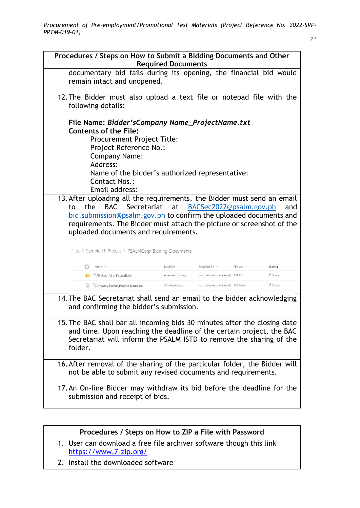| Procedures / Steps on How to Submit a Bidding Documents and Other<br><b>Required Documents</b>                                                                                                                                                                                                                                                                                                |                   |                                    |                  |                       |  |  |
|-----------------------------------------------------------------------------------------------------------------------------------------------------------------------------------------------------------------------------------------------------------------------------------------------------------------------------------------------------------------------------------------------|-------------------|------------------------------------|------------------|-----------------------|--|--|
| documentary bid fails during its opening, the financial bid would<br>remain intact and unopened.                                                                                                                                                                                                                                                                                              |                   |                                    |                  |                       |  |  |
| 12. The Bidder must also upload a text file or notepad file with the<br>following details:                                                                                                                                                                                                                                                                                                    |                   |                                    |                  |                       |  |  |
| File Name: Bidder's Company Name_Project Name.txt<br><b>Contents of the File:</b><br><b>Procurement Project Title:</b><br>Project Reference No.:<br><b>Company Name:</b><br>Address:<br>Name of the bidder's authorized representative:<br>Contact Nos.:<br>Email address:                                                                                                                    |                   |                                    |                  |                       |  |  |
| 13. After uploading all the requirements, the Bidder must send an email<br>BAC Secretariat at<br>BACSec2022@psalm.gov.ph<br>the<br>to<br>and<br>bid.submission@psalm.gov.ph to confirm the uploaded documents and<br>requirements. The Bidder must attach the picture or screenshot of the<br>uploaded documents and requirements.<br>Files > Sample_IT_Project > PSALMCorp_Bidding_Documents |                   |                                    |                  |                       |  |  |
| Name $\vee$                                                                                                                                                                                                                                                                                                                                                                                   | Modified $\vee$   | Modified By $\vee$                 | File size $\vee$ | Sharing               |  |  |
| "RFP_Palo_Alto_Firewall.zip                                                                                                                                                                                                                                                                                                                                                                   | A few seconds ago | juan.delacruz.psalmcorp@ 151 KB    |                  | g <sup>R</sup> Shared |  |  |
| Company Name_Project Name.txt                                                                                                                                                                                                                                                                                                                                                                 | 32 minutes ago    | juan.delacruz.psalmcorp@ 159 bytes |                  | R <sup>R</sup> Shared |  |  |
| 14. The BAC Secretariat shall send an email to the bidder acknowledging<br>and confirming the bidder's submission.<br>15. The BAC shall bar all incoming bids 30 minutes after the closing date<br>and time. Upon reaching the deadline of the certain project, the BAC<br>Secretariat will inform the PSALM ISTD to remove the sharing of the<br>folder.                                     |                   |                                    |                  |                       |  |  |
| 16. After removal of the sharing of the particular folder, the Bidder will<br>not be able to submit any revised documents and requirements.                                                                                                                                                                                                                                                   |                   |                                    |                  |                       |  |  |
| 17. An On-line Bidder may withdraw its bid before the deadline for the<br>submission and receipt of bids.                                                                                                                                                                                                                                                                                     |                   |                                    |                  |                       |  |  |

- 1. User can download a free file archiver software though this link <https://www.7-zip.org/>
- 2. Install the downloaded software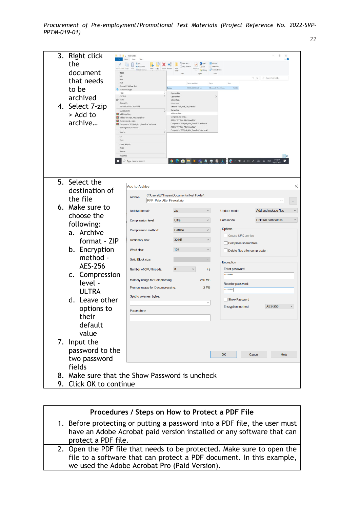| 3. Right click<br>the<br>document<br>Ope<br>Edit<br>that needs<br>New<br>Print<br>to be<br>archived<br>$\triangle$ Share<br>4. Select 7-zip<br>> Add to<br>archive<br>Cut<br>m | Test Folder<br>View<br>& Cut<br>×<br><b>K.</b> Copy part<br>Copy<br>Copy<br>Open with Sublime Text<br>Share with Skype<br>$7 - Zp$<br>CRC SHA<br>Open with<br>Scan with Sophos Anti-Virus<br>Give access to<br>Add to archive<br>Add to "RFP_Palo_Alto_Firewall.rar"<br>Compress and email<br>Compress to 'RFP Palo Alto Firewall.rar' and email<br>Restore previous versions<br>Send to<br>Copy<br>Create shortcut<br>Delete<br>Ronan<br>Propertie<br>$O$ Type here to search | "The New Years<br>$=$<br>Date modified<br>19/05/2020 3:20 pm<br>fl.docx<br>Open archive<br>Open archivi<br>Extract files.<br>Extract Here<br>Extract to "RFP_Palo_Alto_Firewall\"<br>Test archive<br>Add to archive<br>Compress and email.<br>Add to "RFP_Palo_Alto_Firewall.7z"<br>Compress to 'RFP_Palo_Alto_Firewall.7z" and email<br>Add to "RFP_Palo_Alto_Firewall.zip"<br>Compress to "RFP_Palo_Alto_Firewall.zip" and email<br>自同<br>e | Select all<br>Dipen .<br>$A$ Edit<br>Type<br>Microsoft Word Doc.<br>5 吃 增 向 @ | 158.KB                        | э<br>$\Omega$<br>$\vee$ <i>D</i> Smarch Test Folder<br>田島 |
|--------------------------------------------------------------------------------------------------------------------------------------------------------------------------------|--------------------------------------------------------------------------------------------------------------------------------------------------------------------------------------------------------------------------------------------------------------------------------------------------------------------------------------------------------------------------------------------------------------------------------------------------------------------------------|-----------------------------------------------------------------------------------------------------------------------------------------------------------------------------------------------------------------------------------------------------------------------------------------------------------------------------------------------------------------------------------------------------------------------------------------------|-------------------------------------------------------------------------------|-------------------------------|-----------------------------------------------------------|
| 5. Select the                                                                                                                                                                  |                                                                                                                                                                                                                                                                                                                                                                                                                                                                                |                                                                                                                                                                                                                                                                                                                                                                                                                                               |                                                                               |                               |                                                           |
| destination of                                                                                                                                                                 | Add to Archive                                                                                                                                                                                                                                                                                                                                                                                                                                                                 |                                                                                                                                                                                                                                                                                                                                                                                                                                               |                                                                               |                               | X                                                         |
| the file                                                                                                                                                                       | Archive:<br>RFP_Palo_Alto_Firewall.zip                                                                                                                                                                                                                                                                                                                                                                                                                                         | C:\Users\EYTinaan\Documents\Test Folder\                                                                                                                                                                                                                                                                                                                                                                                                      |                                                                               |                               |                                                           |
| 6. Make sure to                                                                                                                                                                | Archive format:                                                                                                                                                                                                                                                                                                                                                                                                                                                                | zip                                                                                                                                                                                                                                                                                                                                                                                                                                           | $\checkmark$                                                                  | Update mode:                  | Add and replace files<br>$\checkmark$                     |
| choose the                                                                                                                                                                     | <b>Compression level:</b>                                                                                                                                                                                                                                                                                                                                                                                                                                                      | Ultra                                                                                                                                                                                                                                                                                                                                                                                                                                         |                                                                               | Path mode:                    | Relative pathnames<br>$\checkmark$                        |
| following:<br>a. Archive                                                                                                                                                       | Compression method:                                                                                                                                                                                                                                                                                                                                                                                                                                                            | <b>Deflate</b>                                                                                                                                                                                                                                                                                                                                                                                                                                | $\checkmark$                                                                  | Options                       |                                                           |
| format - ZIP                                                                                                                                                                   | Dictionary size:                                                                                                                                                                                                                                                                                                                                                                                                                                                               | <b>32 KB</b>                                                                                                                                                                                                                                                                                                                                                                                                                                  | $\checkmark$                                                                  | Create SFX archive            |                                                           |
| b. Encryption                                                                                                                                                                  | Word size:                                                                                                                                                                                                                                                                                                                                                                                                                                                                     | 128                                                                                                                                                                                                                                                                                                                                                                                                                                           | $\checkmark$                                                                  | Compress shared files         | Delete files after compression                            |
| method -                                                                                                                                                                       | Solid Block size:                                                                                                                                                                                                                                                                                                                                                                                                                                                              |                                                                                                                                                                                                                                                                                                                                                                                                                                               |                                                                               |                               |                                                           |
| <b>AES-256</b>                                                                                                                                                                 | Number of CPU threads:                                                                                                                                                                                                                                                                                                                                                                                                                                                         | $\bf 8$<br>$\checkmark$                                                                                                                                                                                                                                                                                                                                                                                                                       | 18                                                                            | Encryption<br>Enter password: |                                                           |
| c. Compression                                                                                                                                                                 |                                                                                                                                                                                                                                                                                                                                                                                                                                                                                |                                                                                                                                                                                                                                                                                                                                                                                                                                               |                                                                               | *********                     |                                                           |
| level -                                                                                                                                                                        | Memory usage for Compressing:<br>Memory usage for Decompressing:                                                                                                                                                                                                                                                                                                                                                                                                               |                                                                                                                                                                                                                                                                                                                                                                                                                                               | 260 MB<br>2 MB                                                                | Reenter password:             |                                                           |
| <b>ULTRA</b>                                                                                                                                                                   | Split to volumes, bytes:                                                                                                                                                                                                                                                                                                                                                                                                                                                       |                                                                                                                                                                                                                                                                                                                                                                                                                                               |                                                                               | ********                      |                                                           |
| d. Leave other                                                                                                                                                                 |                                                                                                                                                                                                                                                                                                                                                                                                                                                                                |                                                                                                                                                                                                                                                                                                                                                                                                                                               | $\checkmark$                                                                  | Show Password                 | <b>AES-256</b><br>$\checkmark$                            |
| options to                                                                                                                                                                     | Parameters:                                                                                                                                                                                                                                                                                                                                                                                                                                                                    |                                                                                                                                                                                                                                                                                                                                                                                                                                               |                                                                               | <b>Encryption method:</b>     |                                                           |
| their                                                                                                                                                                          |                                                                                                                                                                                                                                                                                                                                                                                                                                                                                |                                                                                                                                                                                                                                                                                                                                                                                                                                               |                                                                               |                               |                                                           |
| default                                                                                                                                                                        |                                                                                                                                                                                                                                                                                                                                                                                                                                                                                |                                                                                                                                                                                                                                                                                                                                                                                                                                               |                                                                               |                               |                                                           |
| value                                                                                                                                                                          |                                                                                                                                                                                                                                                                                                                                                                                                                                                                                |                                                                                                                                                                                                                                                                                                                                                                                                                                               |                                                                               |                               |                                                           |
| 7. Input the                                                                                                                                                                   |                                                                                                                                                                                                                                                                                                                                                                                                                                                                                |                                                                                                                                                                                                                                                                                                                                                                                                                                               |                                                                               |                               |                                                           |
| password to the                                                                                                                                                                |                                                                                                                                                                                                                                                                                                                                                                                                                                                                                |                                                                                                                                                                                                                                                                                                                                                                                                                                               |                                                                               | OK                            | Cancel<br>Help                                            |
| two password                                                                                                                                                                   |                                                                                                                                                                                                                                                                                                                                                                                                                                                                                |                                                                                                                                                                                                                                                                                                                                                                                                                                               |                                                                               |                               |                                                           |
| fields<br>8. Make sure that the Show Password is uncheck                                                                                                                       |                                                                                                                                                                                                                                                                                                                                                                                                                                                                                |                                                                                                                                                                                                                                                                                                                                                                                                                                               |                                                                               |                               |                                                           |
| 9. Click OK to continue                                                                                                                                                        |                                                                                                                                                                                                                                                                                                                                                                                                                                                                                |                                                                                                                                                                                                                                                                                                                                                                                                                                               |                                                                               |                               |                                                           |
|                                                                                                                                                                                |                                                                                                                                                                                                                                                                                                                                                                                                                                                                                |                                                                                                                                                                                                                                                                                                                                                                                                                                               |                                                                               |                               |                                                           |

| Procedures / Steps on How to Protect a PDF File                                                                                                                                                 |  |  |  |
|-------------------------------------------------------------------------------------------------------------------------------------------------------------------------------------------------|--|--|--|
| 1. Before protecting or putting a password into a PDF file, the user must<br>have an Adobe Acrobat paid version installed or any software that can<br>protect a PDF file.                       |  |  |  |
| 2. Open the PDF file that needs to be protected. Make sure to open the<br>file to a software that can protect a PDF document. In this example,<br>we used the Adobe Acrobat Pro (Paid Version). |  |  |  |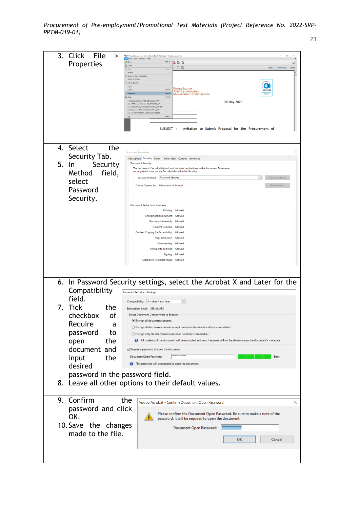| 3. Click<br>File<br>>           | $\sigma$<br>74 RFP_Load Balancer and SSL Certificate R2_(PhilGEPS).pdf - Adobe Acrobat Pro                                                             |
|---------------------------------|--------------------------------------------------------------------------------------------------------------------------------------------------------|
| Properties.                     | <b>Ele Edit View Window Help</b><br><b>B</b> Open.<br>$Ctrl + O$<br>$\rightarrow \rightarrow \rightarrow$<br>e <sup>n</sup>                            |
|                                 | Create<br>B O<br>Tools Comment<br>Share<br>Save<br>$Ctrl + S$                                                                                          |
|                                 | Save As<br>Send and Track Files Online<br>Attach to Email.                                                                                             |
|                                 | Action Wizard                                                                                                                                          |
|                                 | Reyert<br><b>POWER SECTOR</b><br>Close<br>$Ctrl-W$<br><b>SOCOTE</b><br>Assets & Liabilities                                                            |
|                                 | $Ctrl + D$<br>Props<br>MANAGEMENT CORPORATION<br>150 900<br>$Ctrl+P$<br><b>B</b> Print.                                                                |
|                                 | 1 C:\Users\eytinaan\\BIR_2303updated.PDF<br>20 May 2020<br>2 C:\RFP_Load Balancer R2 (PhilGEPS).pdf<br>3 C:\Declaration_Form_&_Undertaking_EYT.pdf     |
|                                 | 4 C/\Users\\Authorized Representative.pdf<br>S C:\2. Business Permi20) ms_reduced.pdf                                                                  |
|                                 | $Ctrl \cdot Q$<br>Exit                                                                                                                                 |
|                                 |                                                                                                                                                        |
|                                 | SUBJECT :<br>Invitation to Submit Proposal for the Procurement of                                                                                      |
|                                 |                                                                                                                                                        |
| 4. Select<br>the                |                                                                                                                                                        |
| Security Tab.                   | <b>Document Properties</b>                                                                                                                             |
|                                 | Description Security Fonts Initial View Custom Advanced<br><b>Document Security</b>                                                                    |
| 5. In<br>Security               | The document's Security Method restricts what can be done to the document. To remove<br>security restrictions, set the Security Method to No Security. |
| field,<br>Method                | Security Method: Password Security<br>Change Settings                                                                                                  |
| select                          |                                                                                                                                                        |
| Password                        | Can be Opened by: All versions of Acrobat<br>Show Details.                                                                                             |
| Security.                       |                                                                                                                                                        |
|                                 | <b>Document Restrictions Summary</b>                                                                                                                   |
|                                 | Printing: Allowed                                                                                                                                      |
|                                 | Changing the Document: Allowed                                                                                                                         |
|                                 | Document Assembly: Allowed<br><b>Content Copying: Allowed</b>                                                                                          |
|                                 | <b>Content Copying for Accessibility: Allowed</b>                                                                                                      |
|                                 | Page Extraction: Allowed                                                                                                                               |
|                                 | Commenting: Allowed<br>Filling of form fields: Allowed                                                                                                 |
|                                 | Signing: Allowed                                                                                                                                       |
|                                 | Creation of Template Pages: Allowed                                                                                                                    |
|                                 |                                                                                                                                                        |
|                                 |                                                                                                                                                        |
|                                 | 6. In Password Security settings, select the Acrobat X and Later for the                                                                               |
| Compatibility                   | Password Security - Settings                                                                                                                           |
| field.                          |                                                                                                                                                        |
| 7. Tick                         | Compatibility:<br>Acrobat X and later                                                                                                                  |
| the                             | Encryption Level: 256-bit AES                                                                                                                          |
| checkbox<br>оf                  | Select Document Components to Encrypt<br><b>Encrypt all document contents</b>                                                                          |
| Require<br>a                    | O Encrypt all document contents except metadata (Acrobat 6 and later compatible)                                                                       |
| password<br>to                  | ○ Encrypt only file attachments (Acrobat 7 and later compatible)                                                                                       |
| the<br>open                     | All contents of the document will be encrypted and search engines will not be able to access the document's metadata.                                  |
|                                 |                                                                                                                                                        |
| document and                    | $\vee$ Require a password to open the document<br>**************                                                                                       |
| input<br>the                    | Document Open Password:<br><b>Best</b>                                                                                                                 |
| desired                         | This password will be required to open the document.                                                                                                   |
| password in the password field. |                                                                                                                                                        |
|                                 | 8. Leave all other options to their default values.                                                                                                    |
|                                 |                                                                                                                                                        |
|                                 |                                                                                                                                                        |
| 9. Confirm                      | the<br>Adobe Acrobat - Confirm Document Open Password<br>×                                                                                             |
| password and click              |                                                                                                                                                        |
| OK.                             | Please confirm the Document Open Password. Be sure to make a note of the<br>password. It will be required to open the document.                        |
| 10. Save the changes            |                                                                                                                                                        |
|                                 | *************<br>Document Open Password:                                                                                                               |
| made to the file.               | <b>OK</b><br>Cancel                                                                                                                                    |
|                                 |                                                                                                                                                        |
|                                 |                                                                                                                                                        |
|                                 |                                                                                                                                                        |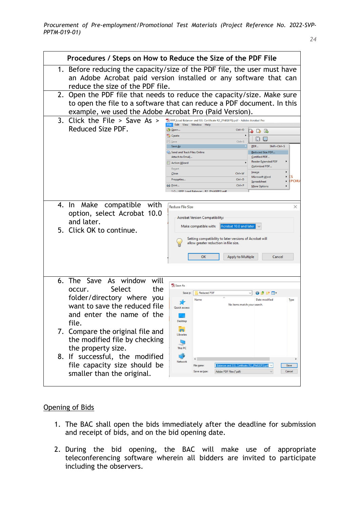|    | Procedures / Steps on How to Reduce the Size of the PDF File                                                                                                                                               |                                                                                                                                                                                           |                                                                                                                                                                                                                                                                                         |
|----|------------------------------------------------------------------------------------------------------------------------------------------------------------------------------------------------------------|-------------------------------------------------------------------------------------------------------------------------------------------------------------------------------------------|-----------------------------------------------------------------------------------------------------------------------------------------------------------------------------------------------------------------------------------------------------------------------------------------|
|    | 1. Before reducing the capacity/size of the PDF file, the user must have<br>an Adobe Acrobat paid version installed or any software that can<br>reduce the size of the PDF file.                           |                                                                                                                                                                                           |                                                                                                                                                                                                                                                                                         |
|    | 2. Open the PDF file that needs to reduce the capacity/size. Make sure<br>to open the file to a software that can reduce a PDF document. In this<br>example, we used the Adobe Acrobat Pro (Paid Version). |                                                                                                                                                                                           |                                                                                                                                                                                                                                                                                         |
| 3. | Click the File $>$ Save As $>$<br>Reduced Size PDF.                                                                                                                                                        | RFP_Load Balancer and SSL Certificate R2_(PhilGEPS).pdf - Adobe Acrobat Pro<br>File Edit View Window Help<br>Open<br>Create                                                               | $Ctrl + O$<br>D B<br>$\blacktriangleright$<br>橙 ■                                                                                                                                                                                                                                       |
|    |                                                                                                                                                                                                            | 当 Save<br>Save As<br>Send and Track Files Online<br>Attach to Email<br><b>22 Action Wizard</b><br>Revert<br>$C$ lose<br>Properties<br>Print<br>1 C:  \REP_Load Balancer R2_(PhilGEPS).ndf | $Ctrl + S$<br>PDF<br>Shift+Ctrl+S<br><b>Reduced Size PDF</b><br>Certified PDF<br><b>Reader Extended PDF</b><br>Optimized PDF<br>Image<br>Ctrl+W<br>ΈS<br>$\blacktriangleright$<br>Microsoft Word<br>$Ctrl + D$<br><b>IPORA</b><br>Spreadsheet<br>٠<br>$Ctrl + P$<br><b>More Options</b> |
|    | 4. In Make<br>compatible with<br>option, select Acrobat 10.0<br>and later.<br>5. Click OK to continue.                                                                                                     | Reduce File Size<br><b>Acrobat Version Compatibility:</b><br>Make compatible with:<br>Setting compatibility to later versions of Acrobat will<br>allow greater reduction in file size.    | X<br>Acrobat 10.0 and later                                                                                                                                                                                                                                                             |
|    |                                                                                                                                                                                                            | OK                                                                                                                                                                                        | <b>Apply to Multiple</b><br>Cancel                                                                                                                                                                                                                                                      |
|    | 6. The Save As window<br>will<br>Select<br>the<br>occur.<br>folder/directory where you<br>want to save the reduced file<br>and enter the name of the<br>file.                                              | Save As<br>Save in:<br>Reduced PDF<br>Name<br>Quick access<br>Desktop                                                                                                                     | $\odot$ $\odot$ $\odot$ $\boxdot$<br>Date modified<br>Type<br>No items match your search.                                                                                                                                                                                               |
|    | 7. Compare the original file and<br>the modified file by checking<br>the property size.<br>8. If successful, the modified<br>file capacity size should be<br>smaller than the original.                    | Libraries<br>9<br>This PC<br>Network<br>File name:<br>Save as type:<br>Adobe PDF Files (*.pdf)                                                                                            | Certificate R2 (PhilGEPS) ndf<br>Save<br>Cancel                                                                                                                                                                                                                                         |

## Opening of Bids

- 1. The BAC shall open the bids immediately after the deadline for submission and receipt of bids, and on the bid opening date.
- 2. During the bid opening, the BAC will make use of appropriate teleconferencing software wherein all bidders are invited to participate including the observers.